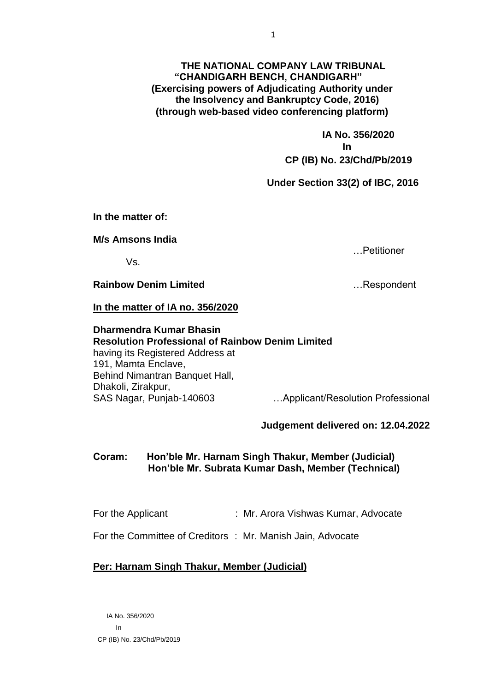## **THE NATIONAL COMPANY LAW TRIBUNAL "CHANDIGARH BENCH, CHANDIGARH" (Exercising powers of Adjudicating Authority under the Insolvency and Bankruptcy Code, 2016) (through web-based video conferencing platform)**

 **IA No. 356/2020 In CP (IB) No. 23/Chd/Pb/2019**

**Under Section 33(2) of IBC, 2016**

**In the matter of:**

**M/s Amsons India**

Vs.

**Rainbow Denim Limited**  Example 2014 1. Respondent

**In the matter of IA no. 356/2020**

**Dharmendra Kumar Bhasin Resolution Professional of Rainbow Denim Limited** having its Registered Address at 191, Mamta Enclave, Behind Nimantran Banquet Hall, Dhakoli, Zirakpur, SAS Nagar, Punjab-140603…Applicant/Resolution Professional

**Judgement delivered on: 12.04.2022**

**Coram: Hon'ble Mr. Harnam Singh Thakur, Member (Judicial) Hon'ble Mr. Subrata Kumar Dash, Member (Technical)**

For the Applicant : Mr. Arora Vishwas Kumar, Advocate

For the Committee of Creditors : Mr. Manish Jain, Advocate

## **Per: Harnam Singh Thakur, Member (Judicial)**

 IA No. 356/2020 In CP (IB) No. 23/Chd/Pb/2019

…Petitioner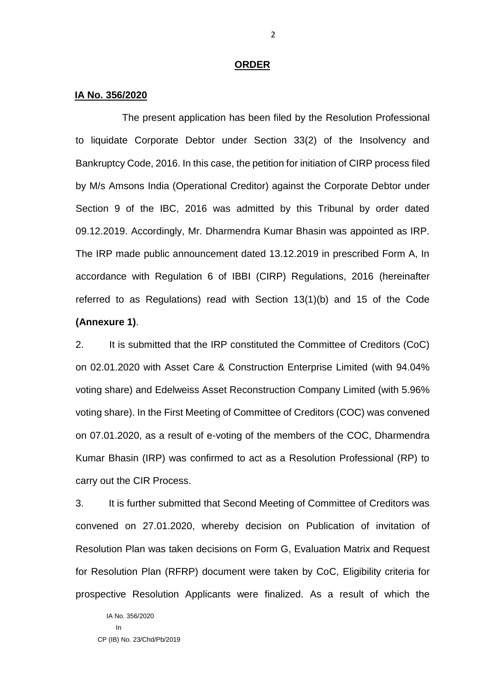## **ORDER**

## **IA No. 356/2020**

The present application has been filed by the Resolution Professional to liquidate Corporate Debtor under Section 33(2) of the Insolvency and Bankruptcy Code, 2016. In this case, the petition for initiation of CIRP process filed by M/s Amsons India (Operational Creditor) against the Corporate Debtor under Section 9 of the IBC, 2016 was admitted by this Tribunal by order dated 09.12.2019. Accordingly, Mr. Dharmendra Kumar Bhasin was appointed as IRP. The IRP made public announcement dated 13.12.2019 in prescribed Form A, In accordance with Regulation 6 of IBBI (CIRP) Regulations, 2016 (hereinafter referred to as Regulations) read with Section 13(1)(b) and 15 of the Code **(Annexure 1)**.

2. It is submitted that the IRP constituted the Committee of Creditors (CoC) on 02.01.2020 with Asset Care & Construction Enterprise Limited (with 94.04% voting share) and Edelweiss Asset Reconstruction Company Limited (with 5.96% voting share). In the First Meeting of Committee of Creditors (COC) was convened on 07.01.2020, as a result of e-voting of the members of the COC, Dharmendra Kumar Bhasin (IRP) was confirmed to act as a Resolution Professional (RP) to carry out the CIR Process.

3. It is further submitted that Second Meeting of Committee of Creditors was convened on 27.01.2020, whereby decision on Publication of invitation of Resolution Plan was taken decisions on Form G, Evaluation Matrix and Request for Resolution Plan (RFRP) document were taken by CoC, Eligibility criteria for prospective Resolution Applicants were finalized. As a result of which the

 IA No. 356/2020 in a shekarar ta <mark>I</mark>n CP (IB) No. 23/Chd/Pb/2019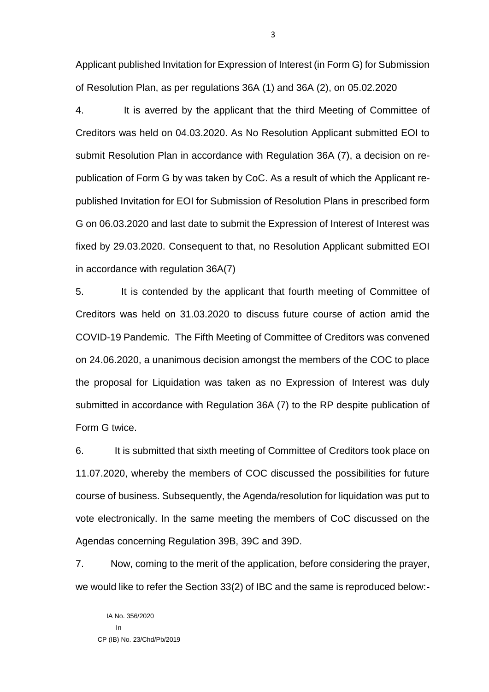Applicant published Invitation for Expression of Interest (in Form G) for Submission of Resolution Plan, as per regulations 36A (1) and 36A (2), on 05.02.2020

4. It is averred by the applicant that the third Meeting of Committee of Creditors was held on 04.03.2020. As No Resolution Applicant submitted EOI to submit Resolution Plan in accordance with Regulation 36A (7), a decision on republication of Form G by was taken by CoC. As a result of which the Applicant republished Invitation for EOI for Submission of Resolution Plans in prescribed form G on 06.03.2020 and last date to submit the Expression of Interest of Interest was fixed by 29.03.2020. Consequent to that, no Resolution Applicant submitted EOI in accordance with regulation 36A(7)

5. It is contended by the applicant that fourth meeting of Committee of Creditors was held on 31.03.2020 to discuss future course of action amid the COVID-19 Pandemic. The Fifth Meeting of Committee of Creditors was convened on 24.06.2020, a unanimous decision amongst the members of the COC to place the proposal for Liquidation was taken as no Expression of Interest was duly submitted in accordance with Regulation 36A (7) to the RP despite publication of Form G twice.

6. It is submitted that sixth meeting of Committee of Creditors took place on 11.07.2020, whereby the members of COC discussed the possibilities for future course of business. Subsequently, the Agenda/resolution for liquidation was put to vote electronically. In the same meeting the members of CoC discussed on the Agendas concerning Regulation 39B, 39C and 39D.

7. Now, coming to the merit of the application, before considering the prayer, we would like to refer the Section 33(2) of IBC and the same is reproduced below:-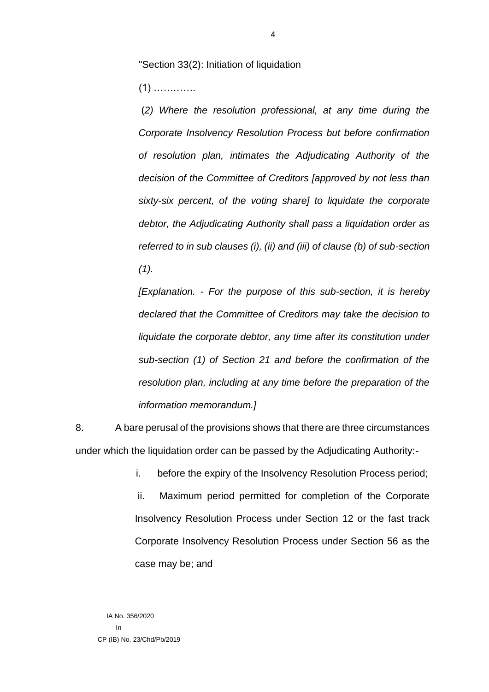"Section 33(2): Initiation of liquidation

(1) ………….

(*2) Where the resolution professional, at any time during the Corporate Insolvency Resolution Process but before confirmation of resolution plan, intimates the Adjudicating Authority of the decision of the Committee of Creditors [approved by not less than sixty-six percent, of the voting share] to liquidate the corporate debtor, the Adjudicating Authority shall pass a liquidation order as referred to in sub clauses (i), (ii) and (iii) of clause (b) of sub-section (1).*

*[Explanation. - For the purpose of this sub-section, it is hereby declared that the Committee of Creditors may take the decision to liquidate the corporate debtor, any time after its constitution under sub-section (1) of Section 21 and before the confirmation of the resolution plan, including at any time before the preparation of the information memorandum.]* 

8. A bare perusal of the provisions shows that there are three circumstances under which the liquidation order can be passed by the Adjudicating Authority:-

i. before the expiry of the Insolvency Resolution Process period;

ii. Maximum period permitted for completion of the Corporate Insolvency Resolution Process under Section 12 or the fast track Corporate Insolvency Resolution Process under Section 56 as the case may be; and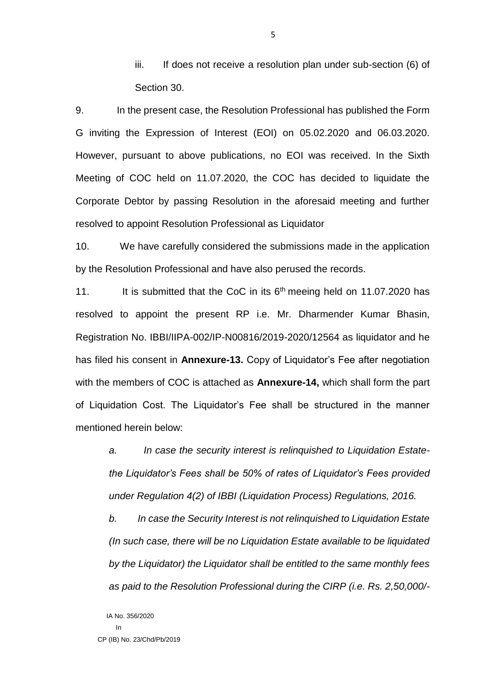iii. If does not receive a resolution plan under sub-section (6) of Section 30.

9. In the present case, the Resolution Professional has published the Form G inviting the Expression of Interest (EOI) on 05.02.2020 and 06.03.2020. However, pursuant to above publications, no EOI was received. In the Sixth Meeting of COC held on 11.07.2020, the COC has decided to liquidate the Corporate Debtor by passing Resolution in the aforesaid meeting and further resolved to appoint Resolution Professional as Liquidator

10. We have carefully considered the submissions made in the application by the Resolution Professional and have also perused the records.

11. It is submitted that the CoC in its  $6<sup>th</sup>$  meeing held on 11.07.2020 has resolved to appoint the present RP i.e. Mr. Dharmender Kumar Bhasin, Registration No. IBBI/IIPA-002/IP-N00816/2019-2020/12564 as liquidator and he has filed his consent in **Annexure-13.** Copy of Liquidator's Fee after negotiation with the members of COC is attached as **Annexure-14,** which shall form the part of Liquidation Cost. The Liquidator's Fee shall be structured in the manner mentioned herein below:

*a. In case the security interest is relinquished to Liquidation Estatethe Liquidator's Fees shall be 50% of rates of Liquidator's Fees provided under Regulation 4(2) of IBBI (Liquidation Process) Regulations, 2016.*

*b. In case the Security Interest is not relinquished to Liquidation Estate (In such case, there will be no Liquidation Estate available to be liquidated by the Liquidator) the Liquidator shall be entitled to the same monthly fees as paid to the Resolution Professional during the CIRP (i.e. Rs. 2,50,000/-*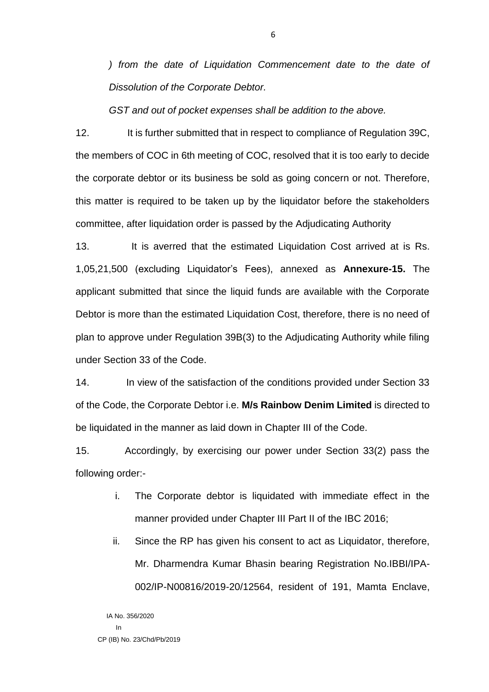*) from the date of Liquidation Commencement date to the date of Dissolution of the Corporate Debtor.*

*GST and out of pocket expenses shall be addition to the above.*

12. It is further submitted that in respect to compliance of Regulation 39C, the members of COC in 6th meeting of COC, resolved that it is too early to decide the corporate debtor or its business be sold as going concern or not. Therefore, this matter is required to be taken up by the liquidator before the stakeholders committee, after liquidation order is passed by the Adjudicating Authority

13. It is averred that the estimated Liquidation Cost arrived at is Rs. 1,05,21,500 (excluding Liquidator's Fees), annexed as **Annexure-15.** The applicant submitted that since the liquid funds are available with the Corporate Debtor is more than the estimated Liquidation Cost, therefore, there is no need of plan to approve under Regulation 39B(3) to the Adjudicating Authority while filing under Section 33 of the Code.

14. In view of the satisfaction of the conditions provided under Section 33 of the Code, the Corporate Debtor i.e. **M/s Rainbow Denim Limited** is directed to be liquidated in the manner as laid down in Chapter III of the Code.

15. Accordingly, by exercising our power under Section 33(2) pass the following order:-

- i. The Corporate debtor is liquidated with immediate effect in the manner provided under Chapter III Part II of the IBC 2016;
- ii. Since the RP has given his consent to act as Liquidator, therefore, Mr. Dharmendra Kumar Bhasin bearing Registration No.IBBI/IPA-002/IP-N00816/2019-20/12564, resident of 191, Mamta Enclave,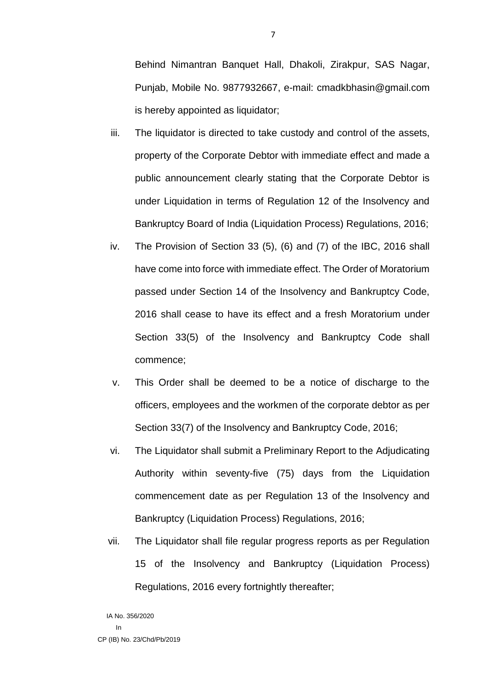Behind Nimantran Banquet Hall, Dhakoli, Zirakpur, SAS Nagar, Punjab, Mobile No. 9877932667, e-mail: cmadkbhasin@gmail.com is hereby appointed as liquidator;

- iii. The liquidator is directed to take custody and control of the assets, property of the Corporate Debtor with immediate effect and made a public announcement clearly stating that the Corporate Debtor is under Liquidation in terms of Regulation 12 of the Insolvency and Bankruptcy Board of India (Liquidation Process) Regulations, 2016;
- iv. The Provision of Section 33 (5), (6) and (7) of the IBC, 2016 shall have come into force with immediate effect. The Order of Moratorium passed under Section 14 of the Insolvency and Bankruptcy Code, 2016 shall cease to have its effect and a fresh Moratorium under Section 33(5) of the Insolvency and Bankruptcy Code shall commence;
- v. This Order shall be deemed to be a notice of discharge to the officers, employees and the workmen of the corporate debtor as per Section 33(7) of the Insolvency and Bankruptcy Code, 2016;
- vi. The Liquidator shall submit a Preliminary Report to the Adjudicating Authority within seventy-five (75) days from the Liquidation commencement date as per Regulation 13 of the Insolvency and Bankruptcy (Liquidation Process) Regulations, 2016;
- vii. The Liquidator shall file regular progress reports as per Regulation 15 of the Insolvency and Bankruptcy (Liquidation Process) Regulations, 2016 every fortnightly thereafter;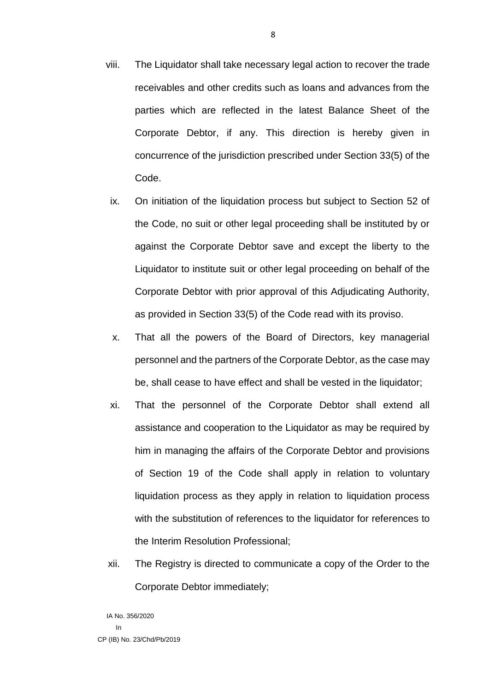- viii. The Liquidator shall take necessary legal action to recover the trade receivables and other credits such as loans and advances from the parties which are reflected in the latest Balance Sheet of the Corporate Debtor, if any. This direction is hereby given in concurrence of the jurisdiction prescribed under Section 33(5) of the Code.
- ix. On initiation of the liquidation process but subject to Section 52 of the Code, no suit or other legal proceeding shall be instituted by or against the Corporate Debtor save and except the liberty to the Liquidator to institute suit or other legal proceeding on behalf of the Corporate Debtor with prior approval of this Adjudicating Authority, as provided in Section 33(5) of the Code read with its proviso.
- x. That all the powers of the Board of Directors, key managerial personnel and the partners of the Corporate Debtor, as the case may be, shall cease to have effect and shall be vested in the liquidator;
- xi. That the personnel of the Corporate Debtor shall extend all assistance and cooperation to the Liquidator as may be required by him in managing the affairs of the Corporate Debtor and provisions of Section 19 of the Code shall apply in relation to voluntary liquidation process as they apply in relation to liquidation process with the substitution of references to the liquidator for references to the Interim Resolution Professional;
- xii. The Registry is directed to communicate a copy of the Order to the Corporate Debtor immediately;